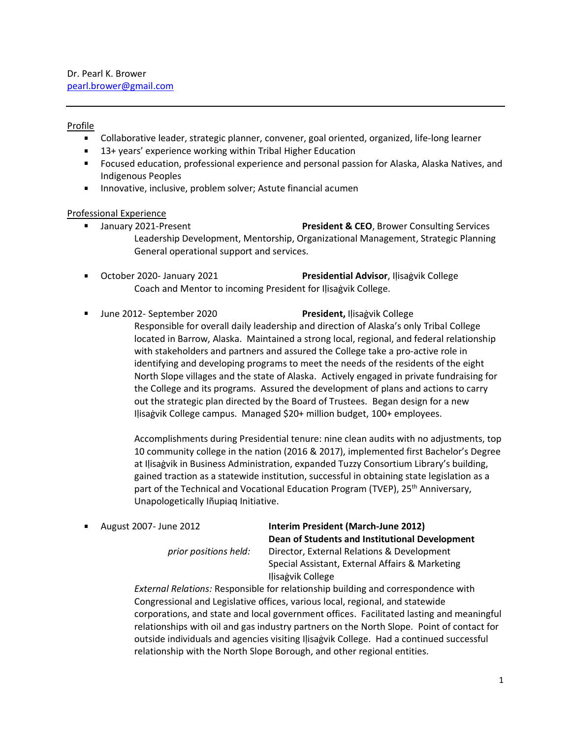### Profile

 $\blacksquare$ 

- Collaborative leader, strategic planner, convener, goal oriented, organized, life-long learner
- 13+ years' experience working within Tribal Higher Education
- Focused education, professional experience and personal passion for Alaska, Alaska Natives, and Indigenous Peoples
- **Innovative, inclusive, problem solver; Astute financial acumen**

#### Professional Experience

- **January 2021-Present The Service Services Resident & CEO**, Brower Consulting Services Leadership Development, Mentorship, Organizational Management, Strategic Planning General operational support and services.
- **Deal Communist Presidential Advisor**, Ilisagvik College **Presidential Advisor**, Ilisagvik College Coach and Mentor to incoming President for Iḷisaġvik College.
	- June 2012- September 2020 **President,** Iḷisaġvik College Responsible for overall daily leadership and direction of Alaska's only Tribal College located in Barrow, Alaska. Maintained a strong local, regional, and federal relationship with stakeholders and partners and assured the College take a pro-active role in identifying and developing programs to meet the needs of the residents of the eight North Slope villages and the state of Alaska. Actively engaged in private fundraising for the College and its programs. Assured the development of plans and actions to carry out the strategic plan directed by the Board of Trustees. Began design for a new Iḷisaġvik College campus. Managed \$20+ million budget, 100+ employees.

Accomplishments during Presidential tenure: nine clean audits with no adjustments, top 10 community college in the nation (2016 & 2017), implemented first Bachelor's Degree at Iḷisaġvik in Business Administration, expanded Tuzzy Consortium Library's building, gained traction as a statewide institution, successful in obtaining state legislation as a part of the Technical and Vocational Education Program (TVEP), 25<sup>th</sup> Anniversary, Unapologetically Iñupiaq Initiative.

August 2007- June 2012 **Interim President (March-June 2012) Dean of Students and Institutional Development** *prior positions held:* Director, External Relations & Development Special Assistant, External Affairs & Marketing Iḷisaġvik College

> *External Relations:* Responsible for relationship building and correspondence with Congressional and Legislative offices, various local, regional, and statewide corporations, and state and local government offices. Facilitated lasting and meaningful relationships with oil and gas industry partners on the North Slope. Point of contact for outside individuals and agencies visiting Iḷisaġvik College. Had a continued successful relationship with the North Slope Borough, and other regional entities.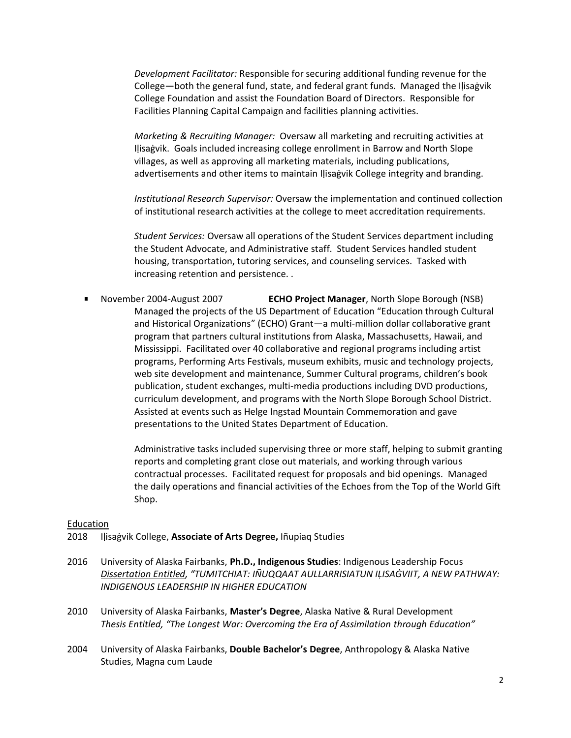*Development Facilitator:* Responsible for securing additional funding revenue for the College—both the general fund, state, and federal grant funds. Managed the Iḷisaġvik College Foundation and assist the Foundation Board of Directors. Responsible for Facilities Planning Capital Campaign and facilities planning activities.

*Marketing & Recruiting Manager:* Oversaw all marketing and recruiting activities at Ilisagvik. Goals included increasing college enrollment in Barrow and North Slope villages, as well as approving all marketing materials, including publications, advertisements and other items to maintain Ilisagvik College integrity and branding.

*Institutional Research Supervisor:* Oversaw the implementation and continued collection of institutional research activities at the college to meet accreditation requirements.

*Student Services:* Oversaw all operations of the Student Services department including the Student Advocate, and Administrative staff. Student Services handled student housing, transportation, tutoring services, and counseling services. Tasked with increasing retention and persistence. .

November 2004-August 2007 **ECHO Project Manager**, North Slope Borough (NSB) Managed the projects of the US Department of Education "Education through Cultural and Historical Organizations" (ECHO) Grant—a multi-million dollar collaborative grant program that partners cultural institutions from Alaska, Massachusetts, Hawaii, and Mississippi. Facilitated over 40 collaborative and regional programs including artist programs, Performing Arts Festivals, museum exhibits, music and technology projects, web site development and maintenance, Summer Cultural programs, children's book publication, student exchanges, multi-media productions including DVD productions, curriculum development, and programs with the North Slope Borough School District. Assisted at events such as Helge Ingstad Mountain Commemoration and gave presentations to the United States Department of Education.

> Administrative tasks included supervising three or more staff, helping to submit granting reports and completing grant close out materials, and working through various contractual processes. Facilitated request for proposals and bid openings. Managed the daily operations and financial activities of the Echoes from the Top of the World Gift Shop.

#### Education

- 2018 Iḷisaġvik College, **Associate of Arts Degree,** Iñupiaq Studies
- 2016 University of Alaska Fairbanks, **Ph.D., Indigenous Studies**: Indigenous Leadership Focus *Dissertation Entitled, "TUMITCHIAT: IÑUQQAAT AULLARRISIATUN IḶISAĠVIIT, A NEW PATHWAY: INDIGENOUS LEADERSHIP IN HIGHER EDUCATION*
- 2010 University of Alaska Fairbanks, **Master's Degree**, Alaska Native & Rural Development *Thesis Entitled, "The Longest War: Overcoming the Era of Assimilation through Education"*
- 2004 University of Alaska Fairbanks, **Double Bachelor's Degree**, Anthropology & Alaska Native Studies, Magna cum Laude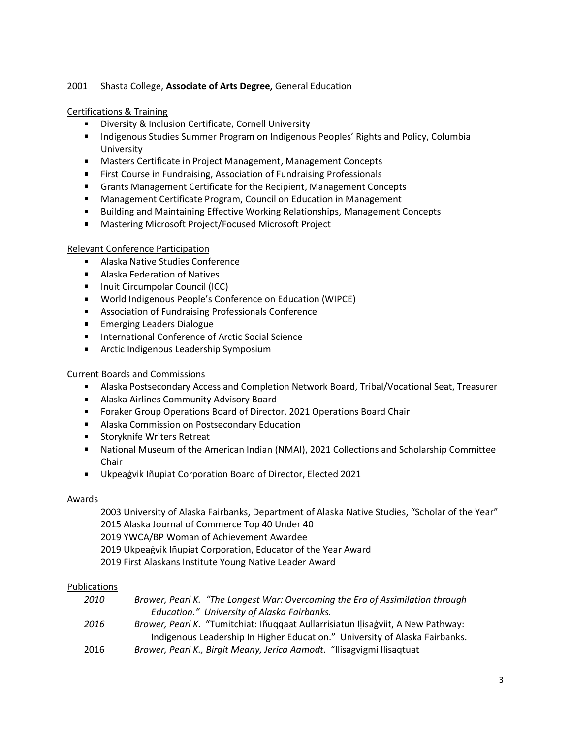# 2001 Shasta College, **Associate of Arts Degree,** General Education

### Certifications & Training

- **Diversity & Inclusion Certificate, Cornell University**
- **Indigenous Studies Summer Program on Indigenous Peoples' Rights and Policy, Columbia** University
- Masters Certificate in Project Management, Management Concepts
- **First Course in Fundraising, Association of Fundraising Professionals**
- Grants Management Certificate for the Recipient, Management Concepts
- **Management Certificate Program, Council on Education in Management**
- Building and Maintaining Effective Working Relationships, Management Concepts
- $\mathbf{r}$ Mastering Microsoft Project/Focused Microsoft Project

# Relevant Conference Participation

- Alaska Native Studies Conference
- **Alaska Federation of Natives**
- **Inuit Circumpolar Council (ICC)**
- World Indigenous People's Conference on Education (WIPCE)
- Association of Fundraising Professionals Conference
- **Emerging Leaders Dialogue**
- International Conference of Arctic Social Science
- **Arctic Indigenous Leadership Symposium**

# Current Boards and Commissions

- Alaska Postsecondary Access and Completion Network Board, Tribal/Vocational Seat, Treasurer
- **Alaska Airlines Community Advisory Board**
- Foraker Group Operations Board of Director, 2021 Operations Board Chair
- **Alaska Commission on Postsecondary Education**
- **Storyknife Writers Retreat**
- National Museum of the American Indian (NMAI), 2021 Collections and Scholarship Committee Chair
- $\blacksquare$ Ukpeaġvik Iñupiat Corporation Board of Director, Elected 2021

# Awards

2003 University of Alaska Fairbanks, Department of Alaska Native Studies, "Scholar of the Year" 2015 Alaska Journal of Commerce Top 40 Under 40 2019 YWCA/BP Woman of Achievement Awardee 2019 Ukpeaġvik Iñupiat Corporation, Educator of the Year Award 2019 First Alaskans Institute Young Native Leader Award

#### Publications

| 2010 | Brower, Pearl K. "The Longest War: Overcoming the Era of Assimilation through           |
|------|-----------------------------------------------------------------------------------------|
|      | Education." University of Alaska Fairbanks.                                             |
| 2016 | <i>Brower, Pearl K. "Tumitchiat: Iñuggaat Aullarrisiatun Ilisagviit, A New Pathway:</i> |
|      | Indigenous Leadership In Higher Education." University of Alaska Fairbanks.             |
| 2016 | Brower, Pearl K., Birgit Meany, Jerica Aamodt. "Ilisagvigmi Ilisaqtuat                  |